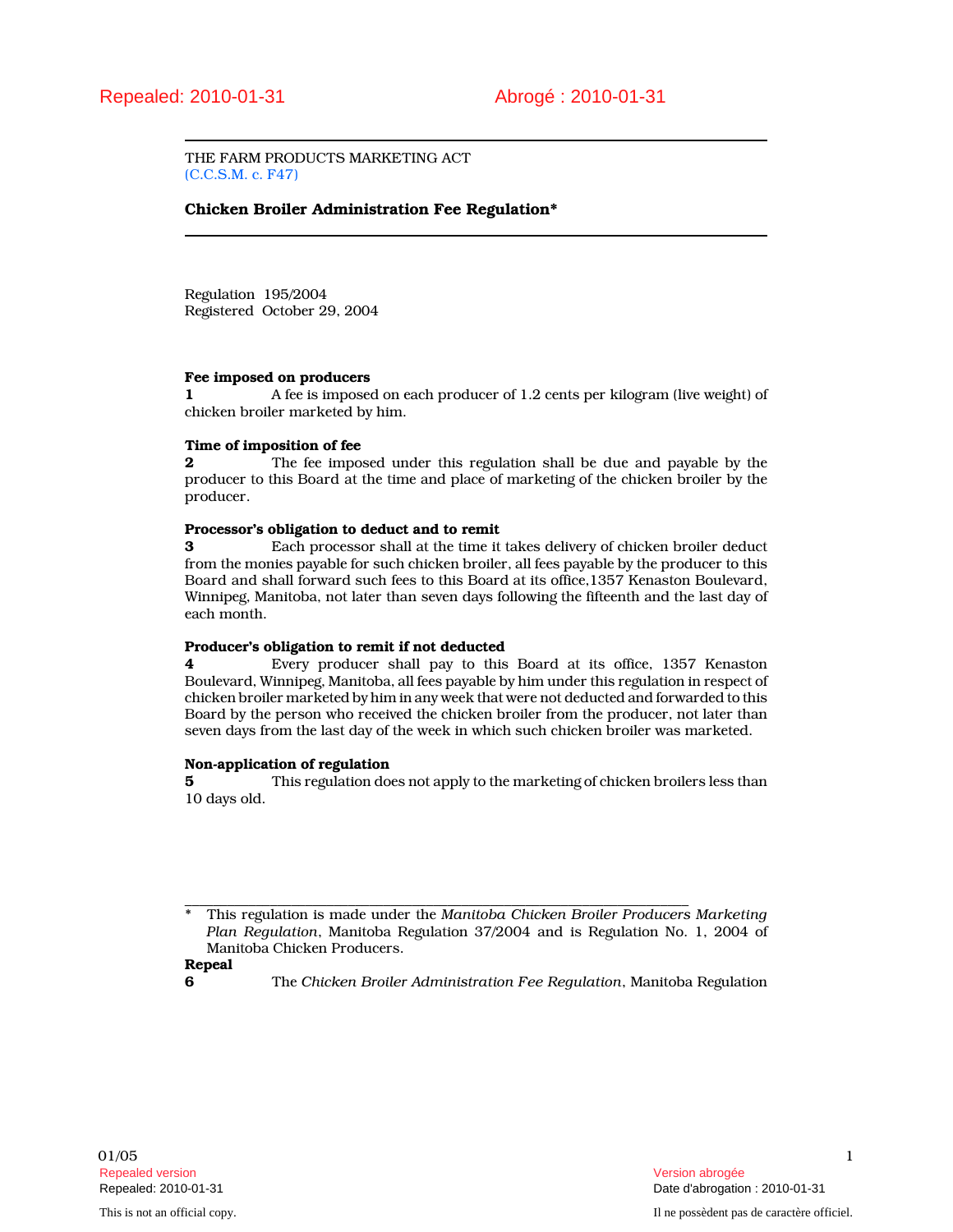THE FARM PRODUCTS MARKETING ACT (C.C.S.M. c. F47)

## Chicken Broiler Administration Fee Regulation\*

Regulation 195/2004 Registered October 29, 2004

## Fee imposed on producers

1 A fee is imposed on each producer of 1.2 cents per kilogram (live weight) of chicken broiler marketed by him.

### Time of imposition of fee

**2** The fee imposed under this regulation shall be due and payable by the producer to this Board at the time and place of marketing of the chicken broiler by the producer.

#### Processor's obligation to deduct and to remit

3 Each processor shall at the time it takes delivery of chicken broiler deduct from the monies payable for such chicken broiler, all fees payable by the producer to this Board and shall forward such fees to this Board at its office,1357 Kenaston Boulevard, Winnipeg, Manitoba, not later than seven days following the fifteenth and the last day of each month.

## Producer's obligation to remit if not deducted

4 Every producer shall pay to this Board at its office, 1357 Kenaston Boulevard, Winnipeg, Manitoba, all fees payable by him under this regulation in respect of chicken broiler marketed by him in any week that were not deducted and forwarded to this Board by the person who received the chicken broiler from the producer, not later than seven days from the last day of the week in which such chicken broiler was marketed.

#### Non-application of regulation

5 This regulation does not apply to the marketing of chicken broilers less than 10 days old.

## Repeal

6 The Chicken Broiler Administration Fee Regulation, Manitoba Regulation

\_\_\_\_\_\_\_\_\_\_\_\_\_\_\_\_\_\_\_\_\_\_\_\_\_\_\_\_\_\_\_\_\_\_\_\_\_\_\_\_\_\_\_\_\_\_\_\_\_\_\_\_\_\_\_\_\_\_\_\_\_\_\_\_\_\_\_\_\_\_\_ This regulation is made under the Manitoba Chicken Broiler Producers Marketing Plan Regulation, Manitoba Regulation 37/2004 and is Regulation No. 1, 2004 of Manitoba Chicken Producers.